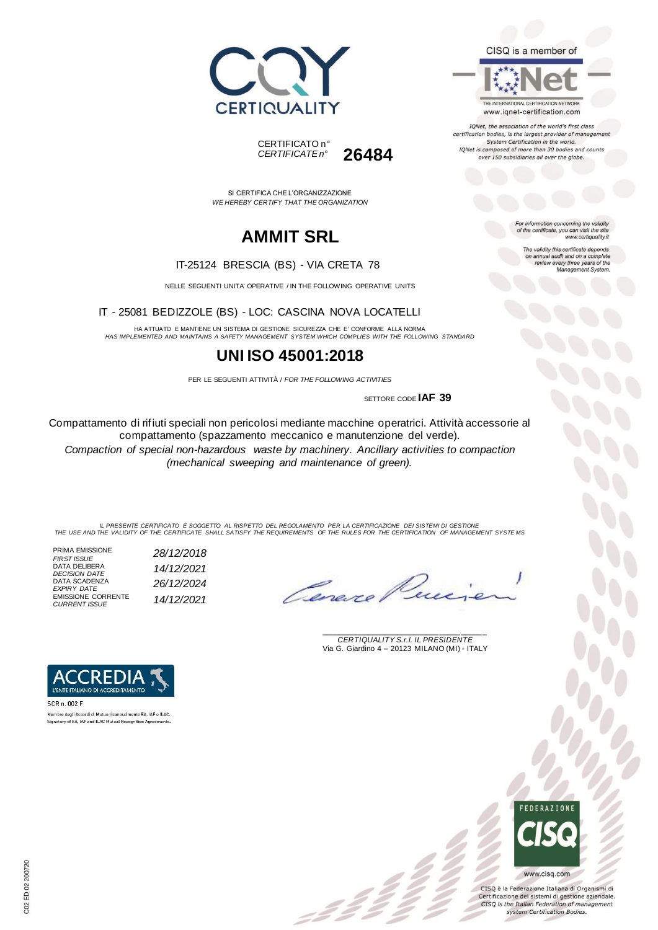



IQNet, the association of the world's first class certification bodies, is the largest provider of management System Certification in the world. IQNet is composed of more than 30 bodies and counts over 150 subsidiaries all over the globe.

> For information concerning the validity<br>of the certificate, you can visit the site www.certiquality.it

> > The validity this certificate depends on annual audit and on a complete<br>review every three years of the<br>Management System.





SI CERTIFICA CHE L'ORGANIZZAZIONE *WE HEREBY CERTIFY THAT THE ORGANIZATION*

# **AMMIT SRL**

#### IT-25124 BRESCIA (BS) - VIA CRETA 78

NELLE SEGUENTI UNITA' OPERATIVE / IN THE FOLLOWING OPERATIVE UNITS

IT - 25081 BEDIZZOLE (BS) - LOC: CASCINA NOVA LOCATELLI

HA ATTUATO E MANTIENE UN SISTEMA DI GESTIONE SICUREZZA CHE E' CONFORME ALLA NORMA *HAS IMPLEMENTED AND MAINTAINS A SAFETY MANAGEMENT SYSTEM WHICH COMPLIES WITH THE FOLLOWING STANDARD*

### **UNI ISO 45001:2018**

PER LE SEGUENTI ATTIVITÀ / *FOR THE FOLLOWING ACTIVITIES*

SETTORE CODE **IAF 39**

Compattamento di rifiuti speciali non pericolosi mediante macchine operatrici. Attività accessorie al compattamento (spazzamento meccanico e manutenzione del verde). *Compaction of special non-hazardous waste by machinery. Ancillary activities to compaction (mechanical sweeping and maintenance of green).*

IL PRESENTE CERTIFICATO E SOGGETTO AL RISPETTO DEL REGOLAMENTO PER LA CERTIFICAZIONE DEI SISTEMI DI GESTIONE<br>THE USE AND THE VALIDITY OF THE CERTIFICATE SHALL SATISFY THE REQUIREMENTS OF THE RULES FOR THE CERTIFICATION OF

\_\_\_\_\_\_\_\_\_\_\_\_\_\_\_\_\_\_\_\_\_\_\_\_\_\_\_\_\_\_\_\_\_\_\_\_\_\_\_ *CERTIQUALITY S.r.l. IL PRESIDENTE* Via G. Giardino 4 – 20123 MILANO (MI) - ITALY

PRIMA EMISSIONE<br>FIRST ISSUE *FIRST ISSUE 28/12/2018* DATA DELIBERA *DECISION DATE 14/12/2021* DATA SCADENZA<br>*EXPIRY DATE EXPIRY DATE 26/12/2024* EMISSIONE CORRENTE *CURRENT ISSUE 14/12/2021*



SCR n. 002 F Membro degli Accordi di Mutuo riconoscimento EA, IAF e ILAC. Signatory of EA, IAF and ILAC Mutual Recognition Agreements.



CISQ è la Federazione Italiana di Organismi di Certificazione dei sistemi di gestione aziendale. CISQ is the Italian Federation of management system Certification Bodies.